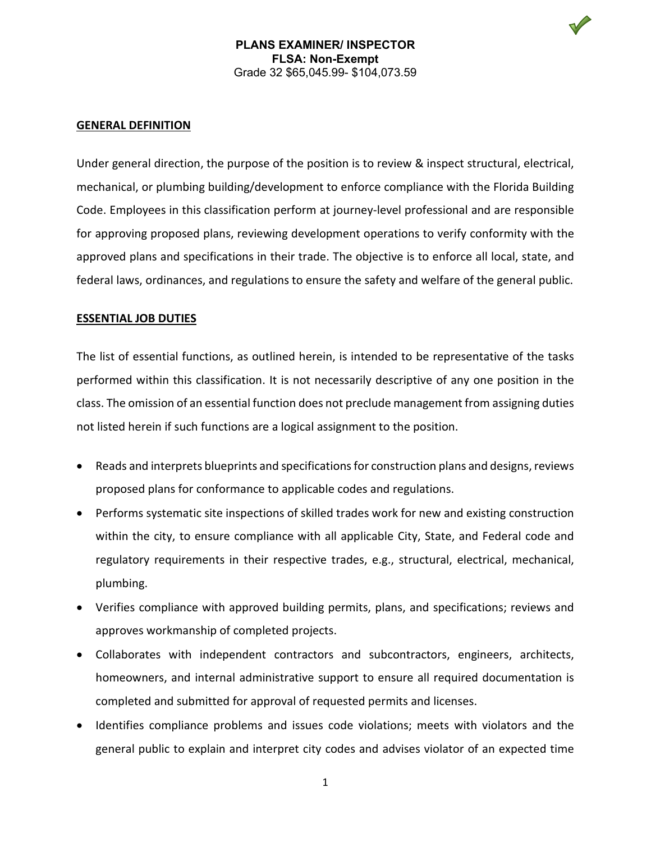#### **GENERAL DEFINITION**

Under general direction, the purpose of the position is to review & inspect structural, electrical, mechanical, or plumbing building/development to enforce compliance with the Florida Building Code. Employees in this classification perform at journey-level professional and are responsible for approving proposed plans, reviewing development operations to verify conformity with the approved plans and specifications in their trade. The objective is to enforce all local, state, and federal laws, ordinances, and regulations to ensure the safety and welfare of the general public.

### **ESSENTIAL JOB DUTIES**

The list of essential functions, as outlined herein, is intended to be representative of the tasks performed within this classification. It is not necessarily descriptive of any one position in the class. The omission of an essential function does not preclude management from assigning duties not listed herein if such functions are a logical assignment to the position.

- Reads and interprets blueprints and specifications for construction plans and designs, reviews proposed plans for conformance to applicable codes and regulations.
- Performs systematic site inspections of skilled trades work for new and existing construction within the city, to ensure compliance with all applicable City, State, and Federal code and regulatory requirements in their respective trades, e.g., structural, electrical, mechanical, plumbing.
- Verifies compliance with approved building permits, plans, and specifications; reviews and approves workmanship of completed projects.
- Collaborates with independent contractors and subcontractors, engineers, architects, homeowners, and internal administrative support to ensure all required documentation is completed and submitted for approval of requested permits and licenses.
- Identifies compliance problems and issues code violations; meets with violators and the general public to explain and interpret city codes and advises violator of an expected time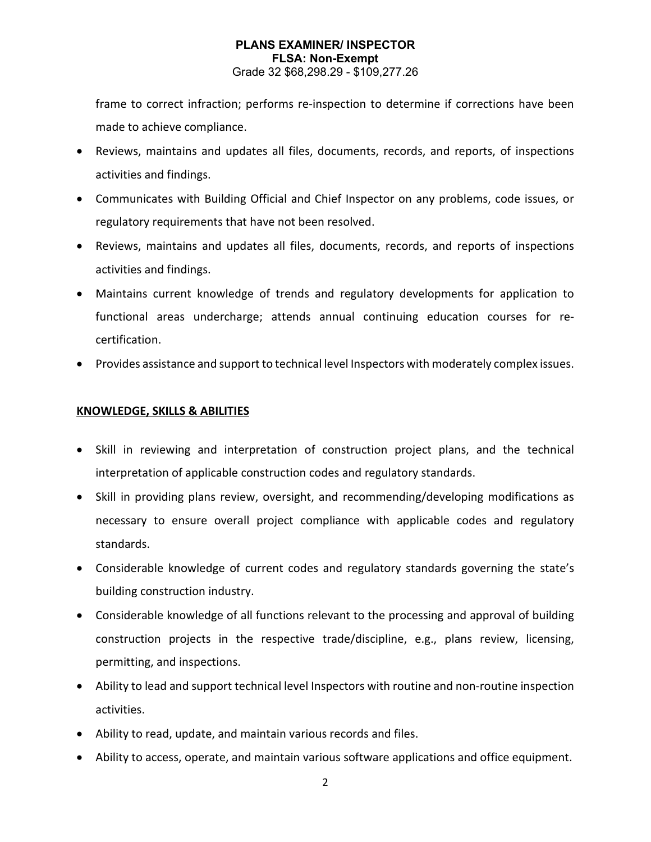### **PLANS EXAMINER/ INSPECTOR FLSA: Non-Exempt** Grade 32 \$68,298.29 - \$109,277.26

frame to correct infraction; performs re-inspection to determine if corrections have been made to achieve compliance.

- Reviews, maintains and updates all files, documents, records, and reports, of inspections activities and findings.
- Communicates with Building Official and Chief Inspector on any problems, code issues, or regulatory requirements that have not been resolved.
- Reviews, maintains and updates all files, documents, records, and reports of inspections activities and findings.
- Maintains current knowledge of trends and regulatory developments for application to functional areas undercharge; attends annual continuing education courses for recertification.
- Provides assistance and support to technical level Inspectors with moderately complex issues.

### **KNOWLEDGE, SKILLS & ABILITIES**

- Skill in reviewing and interpretation of construction project plans, and the technical interpretation of applicable construction codes and regulatory standards.
- Skill in providing plans review, oversight, and recommending/developing modifications as necessary to ensure overall project compliance with applicable codes and regulatory standards.
- Considerable knowledge of current codes and regulatory standards governing the state's building construction industry.
- Considerable knowledge of all functions relevant to the processing and approval of building construction projects in the respective trade/discipline, e.g., plans review, licensing, permitting, and inspections.
- Ability to lead and support technical level Inspectors with routine and non-routine inspection activities.
- Ability to read, update, and maintain various records and files.
- Ability to access, operate, and maintain various software applications and office equipment.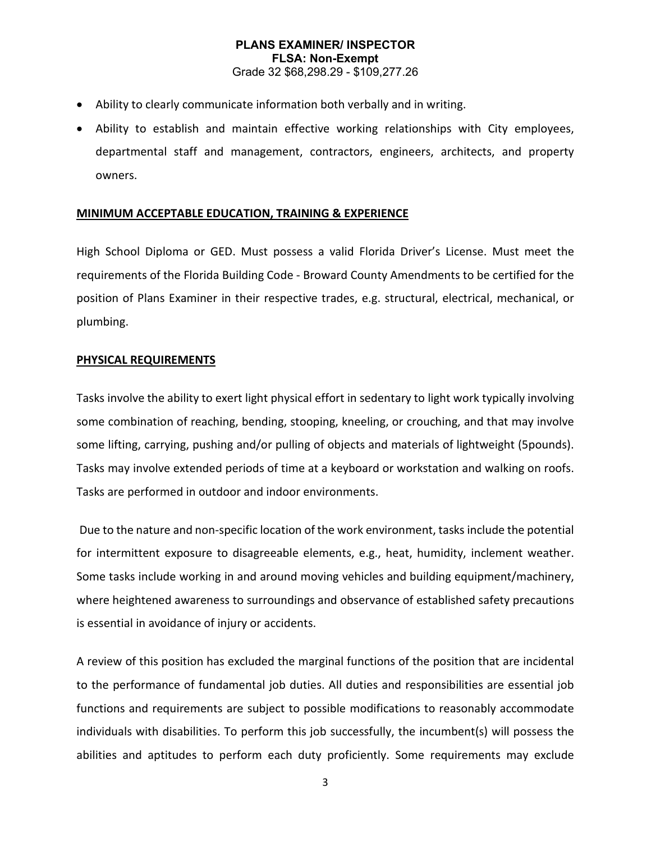# **PLANS EXAMINER/ INSPECTOR FLSA: Non-Exempt** Grade 32 \$68,298.29 - \$109,277.26

- Ability to clearly communicate information both verbally and in writing.
- Ability to establish and maintain effective working relationships with City employees, departmental staff and management, contractors, engineers, architects, and property owners.

#### **MINIMUM ACCEPTABLE EDUCATION, TRAINING & EXPERIENCE**

High School Diploma or GED. Must possess a valid Florida Driver's License. Must meet the requirements of the Florida Building Code - Broward County Amendments to be certified for the position of Plans Examiner in their respective trades, e.g. structural, electrical, mechanical, or plumbing.

#### **PHYSICAL REQUIREMENTS**

Tasks involve the ability to exert light physical effort in sedentary to light work typically involving some combination of reaching, bending, stooping, kneeling, or crouching, and that may involve some lifting, carrying, pushing and/or pulling of objects and materials of lightweight (5pounds). Tasks may involve extended periods of time at a keyboard or workstation and walking on roofs. Tasks are performed in outdoor and indoor environments.

Due to the nature and non-specific location of the work environment, tasks include the potential for intermittent exposure to disagreeable elements, e.g., heat, humidity, inclement weather. Some tasks include working in and around moving vehicles and building equipment/machinery, where heightened awareness to surroundings and observance of established safety precautions is essential in avoidance of injury or accidents.

A review of this position has excluded the marginal functions of the position that are incidental to the performance of fundamental job duties. All duties and responsibilities are essential job functions and requirements are subject to possible modifications to reasonably accommodate individuals with disabilities. To perform this job successfully, the incumbent(s) will possess the abilities and aptitudes to perform each duty proficiently. Some requirements may exclude